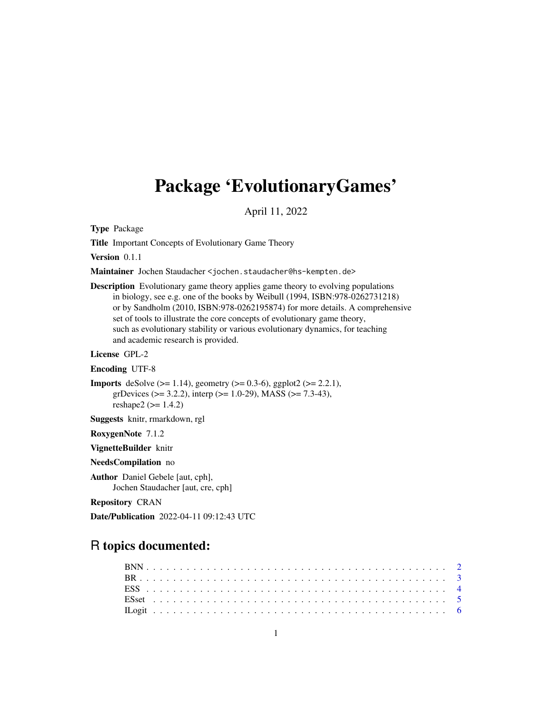## Package 'EvolutionaryGames'

April 11, 2022

Type Package

Title Important Concepts of Evolutionary Game Theory

Version 0.1.1

Maintainer Jochen Staudacher <jochen.staudacher@hs-kempten.de>

Description Evolutionary game theory applies game theory to evolving populations in biology, see e.g. one of the books by Weibull (1994, ISBN:978-0262731218) or by Sandholm (2010, ISBN:978-0262195874) for more details. A comprehensive set of tools to illustrate the core concepts of evolutionary game theory, such as evolutionary stability or various evolutionary dynamics, for teaching and academic research is provided.

License GPL-2

Encoding UTF-8

```
Imports deSolve (> = 1.14), geometry (> = 0.3-6), ggplot2 (> = 2.2.1),
      grDevices (>= 3.2.2), interp (>= 1.0-29), MASS (>= 7.3-43),
      reshape2 (>= 1.4.2)
```
Suggests knitr, rmarkdown, rgl

RoxygenNote 7.1.2

VignetteBuilder knitr

NeedsCompilation no

Author Daniel Gebele [aut, cph], Jochen Staudacher [aut, cre, cph]

Repository CRAN

Date/Publication 2022-04-11 09:12:43 UTC

## R topics documented: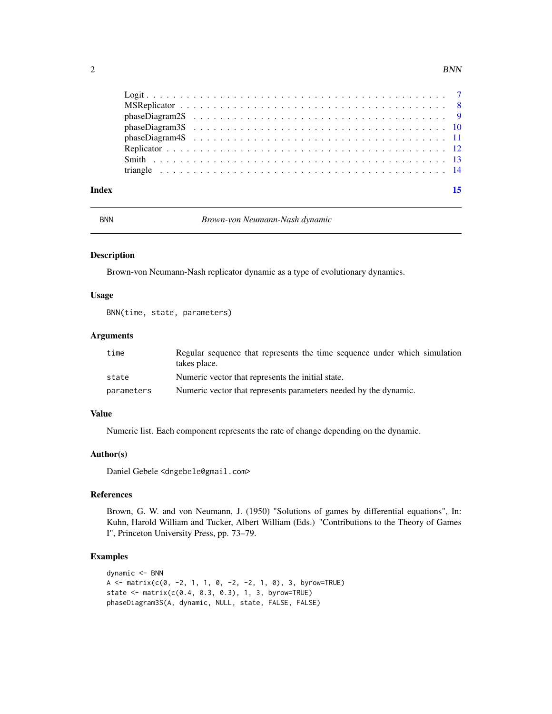<span id="page-1-0"></span>

| Index | 15 |
|-------|----|
|       |    |
|       |    |
|       |    |
|       |    |
|       |    |
|       |    |
|       |    |
|       |    |

BNN *Brown-von Neumann-Nash dynamic*

#### Description

Brown-von Neumann-Nash replicator dynamic as a type of evolutionary dynamics.

#### Usage

BNN(time, state, parameters)

#### Arguments

| time       | Regular sequence that represents the time sequence under which simulation<br>takes place. |
|------------|-------------------------------------------------------------------------------------------|
| state      | Numeric vector that represents the initial state.                                         |
| parameters | Numeric vector that represents parameters needed by the dynamic.                          |

#### Value

Numeric list. Each component represents the rate of change depending on the dynamic.

#### Author(s)

Daniel Gebele <dngebele@gmail.com>

#### References

Brown, G. W. and von Neumann, J. (1950) "Solutions of games by differential equations", In: Kuhn, Harold William and Tucker, Albert William (Eds.) "Contributions to the Theory of Games I", Princeton University Press, pp. 73–79.

```
dynamic <- BNN
A <- matrix(c(0, -2, 1, 1, 0, -2, -2, 1, 0), 3, byrow=TRUE)
state \leq matrix(c(0.4, 0.3, 0.3), 1, 3, byrow=TRUE)
phaseDiagram3S(A, dynamic, NULL, state, FALSE, FALSE)
```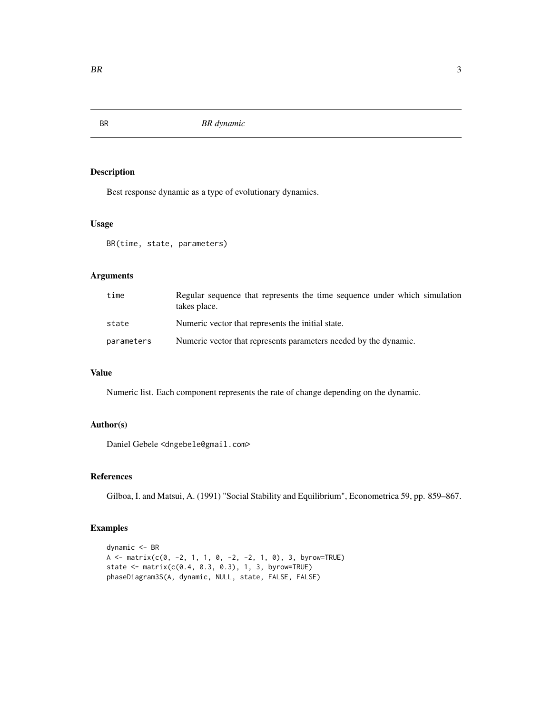<span id="page-2-0"></span>

Best response dynamic as a type of evolutionary dynamics.

#### Usage

BR(time, state, parameters)

#### Arguments

| time       | Regular sequence that represents the time sequence under which simulation<br>takes place. |
|------------|-------------------------------------------------------------------------------------------|
| state      | Numeric vector that represents the initial state.                                         |
| parameters | Numeric vector that represents parameters needed by the dynamic.                          |

#### Value

Numeric list. Each component represents the rate of change depending on the dynamic.

#### Author(s)

Daniel Gebele <dngebele@gmail.com>

#### References

Gilboa, I. and Matsui, A. (1991) "Social Stability and Equilibrium", Econometrica 59, pp. 859–867.

```
dynamic <- BR
A <- matrix(c(0, -2, 1, 1, 0, -2, -2, 1, 0), 3, byrow=TRUE)
state <- matrix(c(0.4, 0.3, 0.3), 1, 3, byrow=TRUE)
phaseDiagram3S(A, dynamic, NULL, state, FALSE, FALSE)
```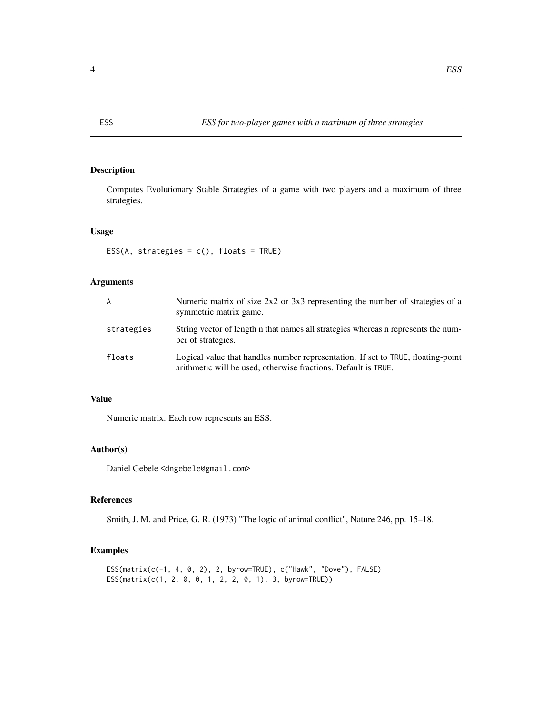<span id="page-3-0"></span>Computes Evolutionary Stable Strategies of a game with two players and a maximum of three strategies.

#### Usage

```
ESS(A, strategies = c(), floats = TRUE)
```
#### Arguments

| A          | Numeric matrix of size $2x2$ or $3x3$ representing the number of strategies of a<br>symmetric matrix game.                                         |
|------------|----------------------------------------------------------------------------------------------------------------------------------------------------|
| strategies | String vector of length n that names all strategies whereas n represents the num-<br>ber of strategies.                                            |
| floats     | Logical value that handles number representation. If set to TRUE, floating-point<br>arithmetic will be used, otherwise fractions. Default is TRUE. |

#### Value

Numeric matrix. Each row represents an ESS.

#### Author(s)

Daniel Gebele <dngebele@gmail.com>

#### References

Smith, J. M. and Price, G. R. (1973) "The logic of animal conflict", Nature 246, pp. 15–18.

```
ESS(matrix(c(-1, 4, 0, 2), 2, byrow=TRUE), c("Hawk", "Dove"), FALSE)
ESS(matrix(c(1, 2, 0, 0, 1, 2, 2, 0, 1), 3, byrow=TRUE))
```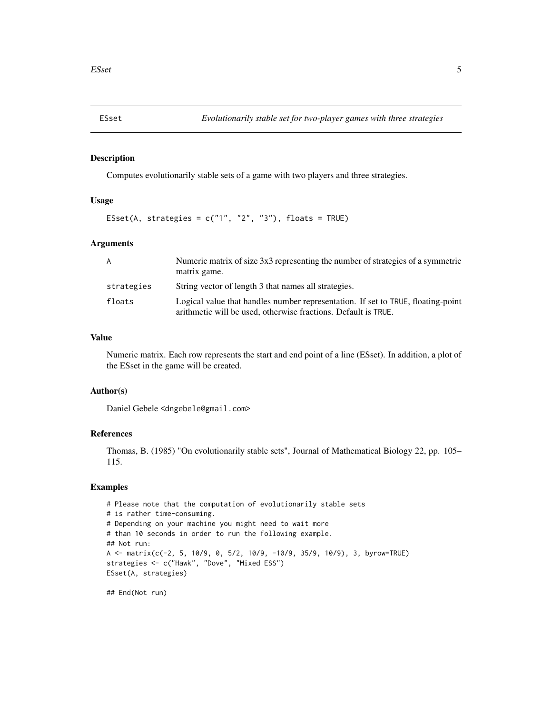<span id="page-4-0"></span>

Computes evolutionarily stable sets of a game with two players and three strategies.

#### Usage

```
ESset(A, strategies = c("1", "2", "3"), floats = TRUE)
```
#### Arguments

| A          | Numeric matrix of size 3x3 representing the number of strategies of a symmetric<br>matrix game.                                                    |
|------------|----------------------------------------------------------------------------------------------------------------------------------------------------|
| strategies | String vector of length 3 that names all strategies.                                                                                               |
| floats     | Logical value that handles number representation. If set to TRUE, floating-point<br>arithmetic will be used, otherwise fractions. Default is TRUE. |

#### Value

Numeric matrix. Each row represents the start and end point of a line (ESset). In addition, a plot of the ESset in the game will be created.

#### Author(s)

Daniel Gebele <dngebele@gmail.com>

#### References

Thomas, B. (1985) "On evolutionarily stable sets", Journal of Mathematical Biology 22, pp. 105– 115.

#### Examples

```
# Please note that the computation of evolutionarily stable sets
# is rather time-consuming.
# Depending on your machine you might need to wait more
# than 10 seconds in order to run the following example.
## Not run:
A <- matrix(c(-2, 5, 10/9, 0, 5/2, 10/9, -10/9, 35/9, 10/9), 3, byrow=TRUE)
strategies <- c("Hawk", "Dove", "Mixed ESS")
ESset(A, strategies)
```
## End(Not run)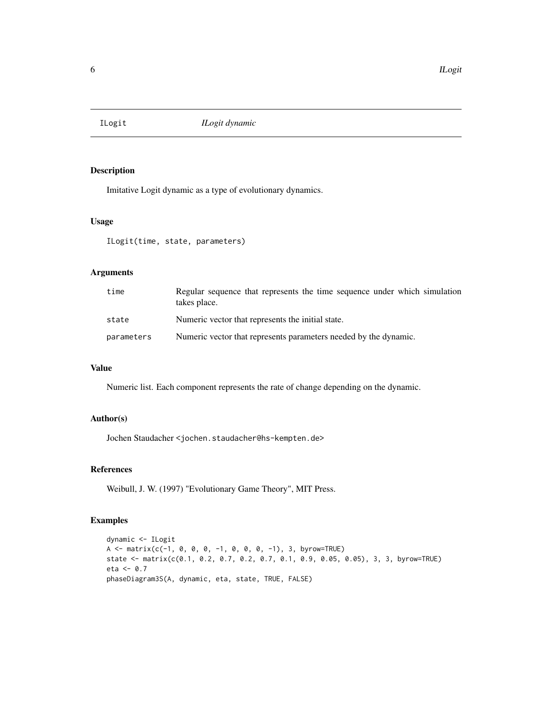<span id="page-5-0"></span>

Imitative Logit dynamic as a type of evolutionary dynamics.

#### Usage

ILogit(time, state, parameters)

#### Arguments

| time       | Regular sequence that represents the time sequence under which simulation<br>takes place. |
|------------|-------------------------------------------------------------------------------------------|
| state      | Numeric vector that represents the initial state.                                         |
| parameters | Numeric vector that represents parameters needed by the dynamic.                          |

#### Value

Numeric list. Each component represents the rate of change depending on the dynamic.

#### Author(s)

Jochen Staudacher <jochen.staudacher@hs-kempten.de>

#### References

Weibull, J. W. (1997) "Evolutionary Game Theory", MIT Press.

```
dynamic <- ILogit
A \leq -\text{matrix}(c(-1, 0, 0, 0, -1, 0, 0, 0, -1), 3, byrow=True)state <- matrix(c(0.1, 0.2, 0.7, 0.2, 0.7, 0.1, 0.9, 0.05, 0.05), 3, 3, byrow=TRUE)
eta <-0.7phaseDiagram3S(A, dynamic, eta, state, TRUE, FALSE)
```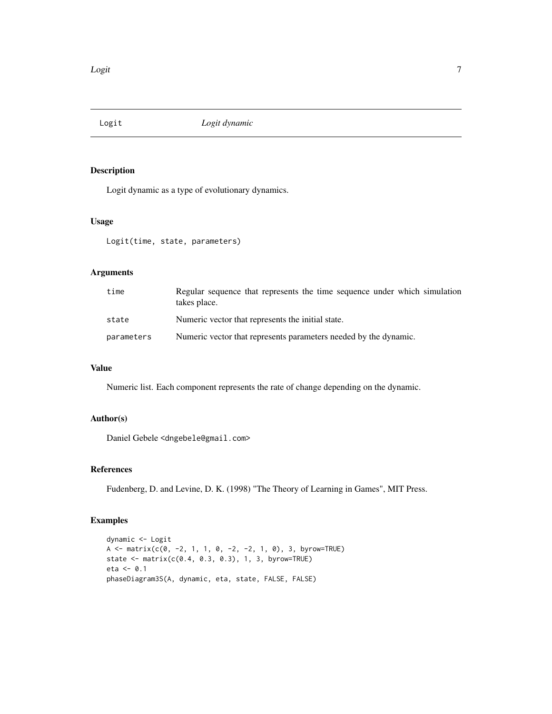<span id="page-6-0"></span>

Logit dynamic as a type of evolutionary dynamics.

#### Usage

Logit(time, state, parameters)

#### Arguments

| time       | Regular sequence that represents the time sequence under which simulation<br>takes place. |
|------------|-------------------------------------------------------------------------------------------|
| state      | Numeric vector that represents the initial state.                                         |
| parameters | Numeric vector that represents parameters needed by the dynamic.                          |

#### Value

Numeric list. Each component represents the rate of change depending on the dynamic.

#### Author(s)

Daniel Gebele <dngebele@gmail.com>

#### References

Fudenberg, D. and Levine, D. K. (1998) "The Theory of Learning in Games", MIT Press.

```
dynamic <- Logit
A <- matrix(c(0, -2, 1, 1, 0, -2, -2, 1, 0), 3, byrow=TRUE)
state <- matrix(c(0.4, 0.3, 0.3), 1, 3, byrow=True)eta <- 0.1
phaseDiagram3S(A, dynamic, eta, state, FALSE, FALSE)
```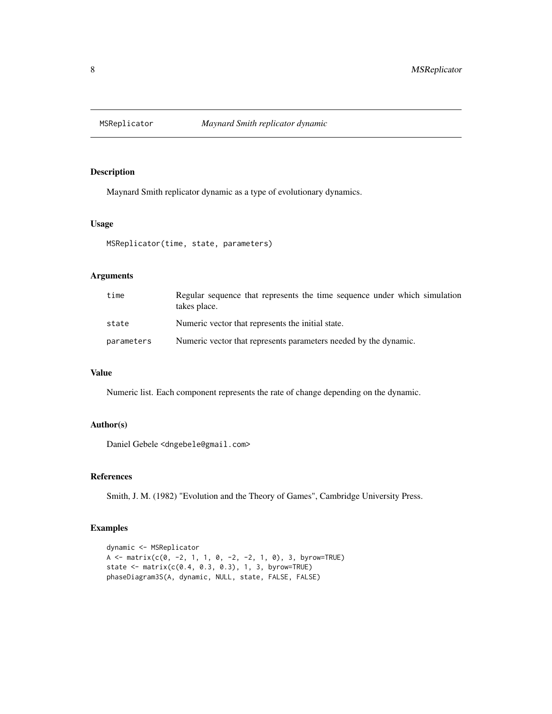<span id="page-7-0"></span>

Maynard Smith replicator dynamic as a type of evolutionary dynamics.

#### Usage

```
MSReplicator(time, state, parameters)
```
#### Arguments

| time       | Regular sequence that represents the time sequence under which simulation<br>takes place. |
|------------|-------------------------------------------------------------------------------------------|
| state      | Numeric vector that represents the initial state.                                         |
| parameters | Numeric vector that represents parameters needed by the dynamic.                          |

#### Value

Numeric list. Each component represents the rate of change depending on the dynamic.

#### Author(s)

Daniel Gebele <dngebele@gmail.com>

#### References

Smith, J. M. (1982) "Evolution and the Theory of Games", Cambridge University Press.

```
dynamic <- MSReplicator
A <- matrix(c(0, -2, 1, 1, 0, -2, -2, 1, 0), 3, byrow=TRUE)
state <- matrix(c(0.4, 0.3, 0.3), 1, 3, byrow=TRUE)
phaseDiagram3S(A, dynamic, NULL, state, FALSE, FALSE)
```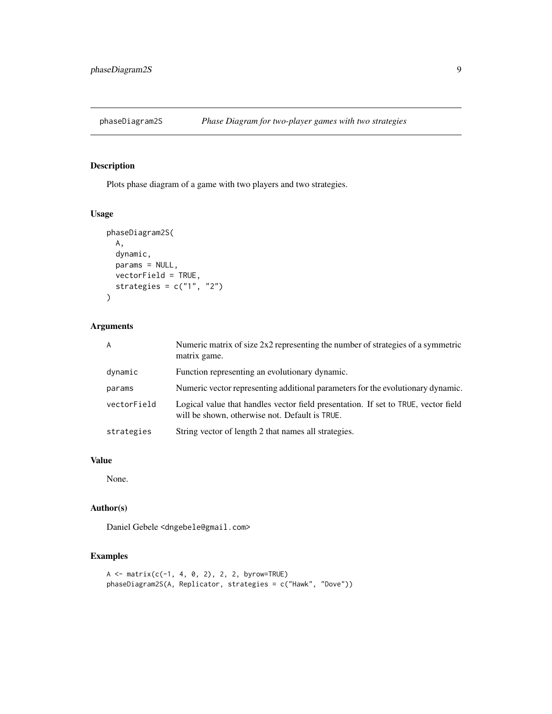<span id="page-8-0"></span>

Plots phase diagram of a game with two players and two strategies.

#### Usage

```
phaseDiagram2S(
 A,
 dynamic,
 params = NULL,
 vectorField = TRUE,
 strategies = c("1", "2")
)
```
#### Arguments

| $\overline{A}$ | Numeric matrix of size $2x2$ representing the number of strategies of a symmetric<br>matrix game.                                    |
|----------------|--------------------------------------------------------------------------------------------------------------------------------------|
| dynamic        | Function representing an evolutionary dynamic.                                                                                       |
| params         | Numeric vector representing additional parameters for the evolutionary dynamic.                                                      |
| vectorField    | Logical value that handles vector field presentation. If set to TRUE, vector field<br>will be shown, otherwise not. Default is TRUE. |
| strategies     | String vector of length 2 that names all strategies.                                                                                 |

#### Value

None.

#### Author(s)

Daniel Gebele <dngebele@gmail.com>

```
A \leq matrix(c(-1, 4, 0, 2), 2, 2, byrow=TRUE)
phaseDiagram2S(A, Replicator, strategies = c("Hawk", "Dove"))
```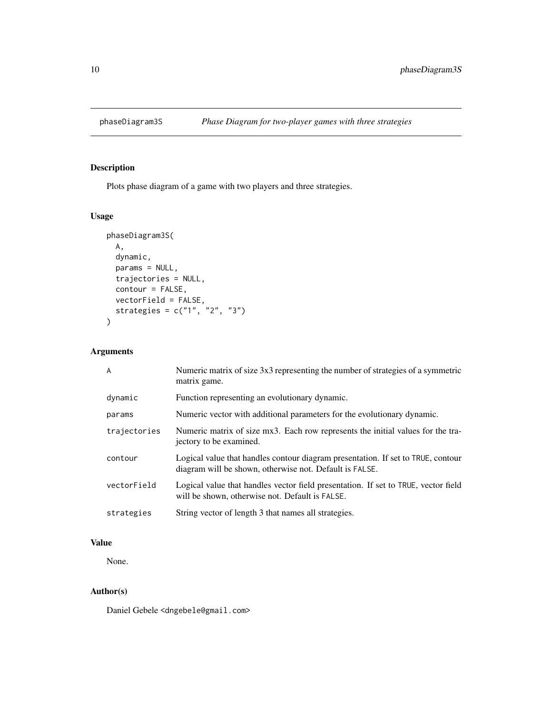<span id="page-9-0"></span>

Plots phase diagram of a game with two players and three strategies.

#### Usage

```
phaseDiagram3S(
 A,
  dynamic,
 params = NULL,
  trajectories = NULL,
 contour = FALSE,
 vectorField = FALSE,
 strategies = c("1", "2", "3")
)
```
#### Arguments

| A            | Numeric matrix of size 3x3 representing the number of strategies of a symmetric<br>matrix game.                                             |
|--------------|---------------------------------------------------------------------------------------------------------------------------------------------|
| dynamic      | Function representing an evolutionary dynamic.                                                                                              |
| params       | Numeric vector with additional parameters for the evolutionary dynamic.                                                                     |
| trajectories | Numeric matrix of size mx3. Each row represents the initial values for the tra-<br>jectory to be examined.                                  |
| contour      | Logical value that handles contour diagram presentation. If set to TRUE, contour<br>diagram will be shown, otherwise not. Default is FALSE. |
| vectorField  | Logical value that handles vector field presentation. If set to TRUE, vector field<br>will be shown, otherwise not. Default is FALSE.       |
| strategies   | String vector of length 3 that names all strategies.                                                                                        |

#### Value

None.

#### Author(s)

Daniel Gebele <dngebele@gmail.com>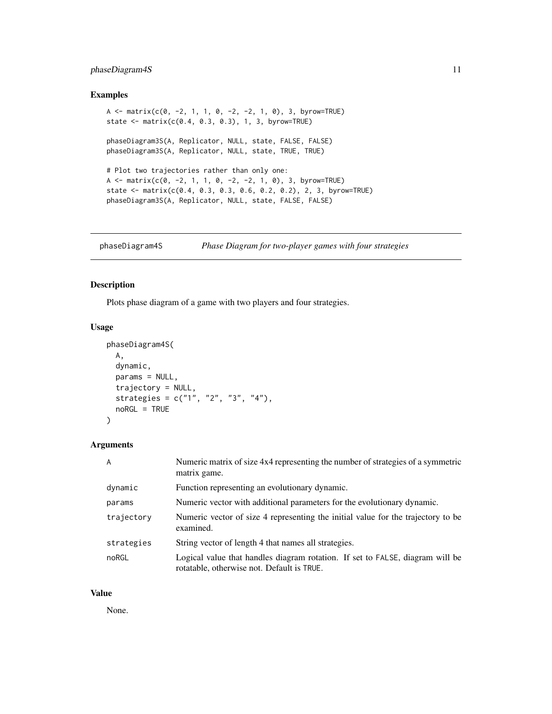#### <span id="page-10-0"></span>phaseDiagram4S 11

#### Examples

```
A <- matrix(c(0, -2, 1, 1, 0, -2, -2, 1, 0), 3, byrow=TRUE)
state <- matrix(c(0.4, 0.3, 0.3), 1, 3, byrow=True)phaseDiagram3S(A, Replicator, NULL, state, FALSE, FALSE)
phaseDiagram3S(A, Replicator, NULL, state, TRUE, TRUE)
# Plot two trajectories rather than only one:
A <- matrix(c(0, -2, 1, 1, 0, -2, -2, 1, 0), 3, byrow=TRUE)
state <- matrix(c(0.4, 0.3, 0.3, 0.6, 0.2, 0.2), 2, 3, byrow=TRUE)
phaseDiagram3S(A, Replicator, NULL, state, FALSE, FALSE)
```
phaseDiagram4S *Phase Diagram for two-player games with four strategies*

#### Description

Plots phase diagram of a game with two players and four strategies.

#### Usage

```
phaseDiagram4S(
 A,
 dynamic,
 params = NULL,
  trajectory = NULL,
 strategies = c("1", "2", "3", "4"),
 noRGL = TRUE
)
```
#### Arguments

| $\overline{A}$ | Numeric matrix of size 4x4 representing the number of strategies of a symmetric<br>matrix game.                             |
|----------------|-----------------------------------------------------------------------------------------------------------------------------|
| dynamic        | Function representing an evolutionary dynamic.                                                                              |
| params         | Numeric vector with additional parameters for the evolutionary dynamic.                                                     |
| trajectory     | Numeric vector of size 4 representing the initial value for the trajectory to be<br>examined.                               |
| strategies     | String vector of length 4 that names all strategies.                                                                        |
| noRGL          | Logical value that handles diagram rotation. If set to FALSE, diagram will be<br>rotatable, otherwise not. Default is TRUE. |

#### Value

None.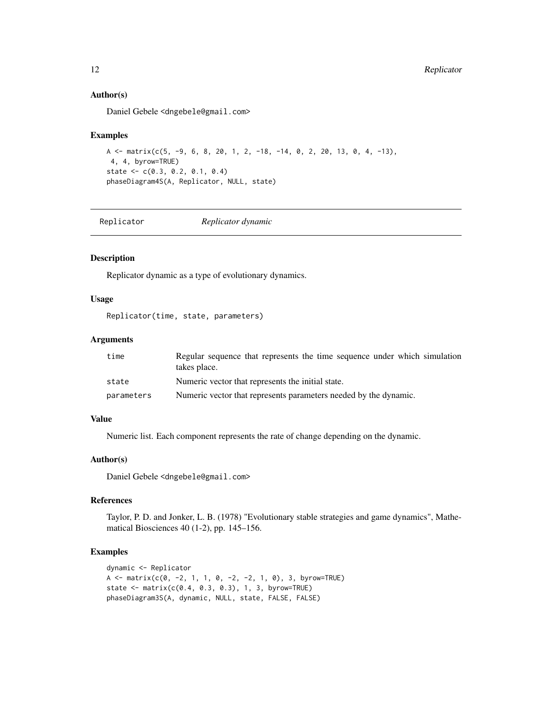#### Author(s)

Daniel Gebele <dngebele@gmail.com>

#### Examples

```
A \le matrix(c(5, -9, 6, 8, 20, 1, 2, -18, -14, 0, 2, 20, 13, 0, 4, -13),
4, 4, byrow=TRUE)
state <- c(0.3, 0.2, 0.1, 0.4)
phaseDiagram4S(A, Replicator, NULL, state)
```
Replicator *Replicator dynamic*

#### Description

Replicator dynamic as a type of evolutionary dynamics.

#### Usage

Replicator(time, state, parameters)

#### Arguments

| time       | Regular sequence that represents the time sequence under which simulation<br>takes place. |
|------------|-------------------------------------------------------------------------------------------|
| state      | Numeric vector that represents the initial state.                                         |
| parameters | Numeric vector that represents parameters needed by the dynamic.                          |

#### Value

Numeric list. Each component represents the rate of change depending on the dynamic.

#### Author(s)

Daniel Gebele <dngebele@gmail.com>

#### References

Taylor, P. D. and Jonker, L. B. (1978) "Evolutionary stable strategies and game dynamics", Mathematical Biosciences 40 (1-2), pp. 145–156.

```
dynamic <- Replicator
A <- matrix(c(0, -2, 1, 1, 0, -2, -2, 1, 0), 3, byrow=TRUE)
state <- matrix(c(0.4, 0.3, 0.3), 1, 3, byrow=True)phaseDiagram3S(A, dynamic, NULL, state, FALSE, FALSE)
```
<span id="page-11-0"></span>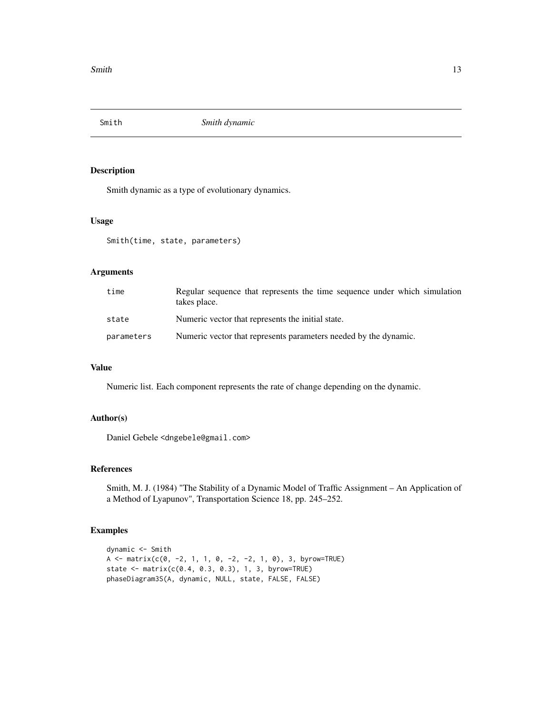<span id="page-12-0"></span>

Smith dynamic as a type of evolutionary dynamics.

#### Usage

Smith(time, state, parameters)

#### Arguments

| time       | Regular sequence that represents the time sequence under which simulation<br>takes place. |
|------------|-------------------------------------------------------------------------------------------|
| state      | Numeric vector that represents the initial state.                                         |
| parameters | Numeric vector that represents parameters needed by the dynamic.                          |

#### Value

Numeric list. Each component represents the rate of change depending on the dynamic.

#### Author(s)

Daniel Gebele <dngebele@gmail.com>

#### References

Smith, M. J. (1984) "The Stability of a Dynamic Model of Traffic Assignment – An Application of a Method of Lyapunov", Transportation Science 18, pp. 245–252.

```
dynamic <- Smith
A <- matrix(c(0, -2, 1, 1, 0, -2, -2, 1, 0), 3, byrow=TRUE)
state <- matrix(c(0.4, 0.3, 0.3), 1, 3, byrow=TRUE)
phaseDiagram3S(A, dynamic, NULL, state, FALSE, FALSE)
```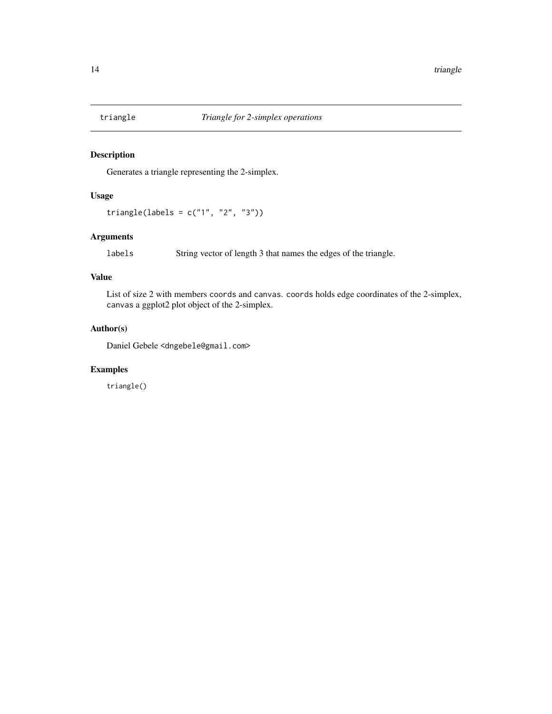<span id="page-13-0"></span>

Generates a triangle representing the 2-simplex.

#### Usage

triangle(labels = c("1", "2", "3"))

#### Arguments

labels String vector of length 3 that names the edges of the triangle.

#### Value

List of size 2 with members coords and canvas. coords holds edge coordinates of the 2-simplex, canvas a ggplot2 plot object of the 2-simplex.

#### Author(s)

Daniel Gebele <dngebele@gmail.com>

#### Examples

triangle()